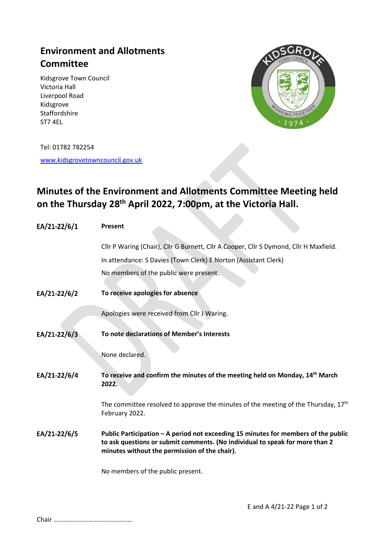## **Environment and Allotments Committee**

Kidsgrove Town Council Victoria Hall Liverpool Road Kidsgrove Staffordshire ST7 4EL



Tel: 01782 782254

[www.kidsgrovetowncouncil.gov.uk](http://www.kidsgrovetowncouncil.gov.uk/)

## **Minutes of the Environment and Allotments Committee Meeting held on the Thursday 28 th April 2022, 7:00pm, at the Victoria Hall.**

 $\mathcal{L}_{\mathcal{A}}$ 

| EA/21-22/6/1 | Present                                                                                                                                                                                                             |
|--------------|---------------------------------------------------------------------------------------------------------------------------------------------------------------------------------------------------------------------|
|              | Cllr P Waring (Chair), Cllr G Burnett, Cllr A Cooper, Cllr S Dymond, Cllr H Maxfield.                                                                                                                               |
|              | In attendance: S Davies (Town Clerk) E Norton (Assistant Clerk)                                                                                                                                                     |
|              | No members of the public were present.                                                                                                                                                                              |
| EA/21-22/6/2 | To receive apologies for absence                                                                                                                                                                                    |
|              | Apologies were received from Cllr J Waring.                                                                                                                                                                         |
| EA/21-22/6/3 | To note declarations of Member's Interests                                                                                                                                                                          |
|              | None declared.                                                                                                                                                                                                      |
| EA/21-22/6/4 | To receive and confirm the minutes of the meeting held on Monday, 14 <sup>th</sup> March<br>2022.                                                                                                                   |
|              | The committee resolved to approve the minutes of the meeting of the Thursday, $17th$<br>February 2022.                                                                                                              |
| EA/21-22/6/5 | Public Participation - A period not exceeding 15 minutes for members of the public<br>to ask questions or submit comments. (No individual to speak for more than 2<br>minutes without the permission of the chair). |
|              | No members of the public present.                                                                                                                                                                                   |